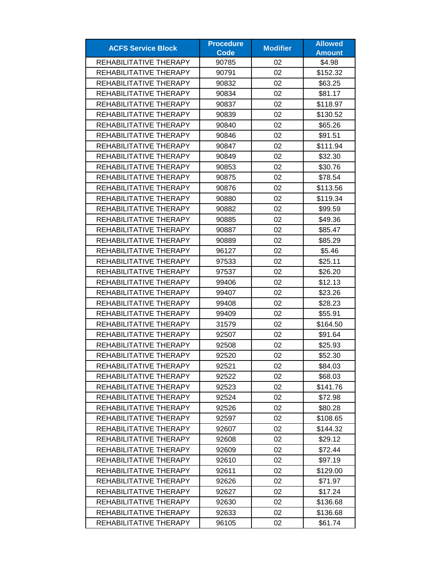| <b>ACFS Service Block</b> | <b>Procedure</b> | <b>Modifier</b> | <b>Allowed</b> |
|---------------------------|------------------|-----------------|----------------|
|                           | <b>Code</b>      |                 | <b>Amount</b>  |
| REHABILITATIVE THERAPY    | 90785            | 02              | \$4.98         |
| REHABILITATIVE THERAPY    | 90791            | 02              | \$152.32       |
| REHABILITATIVE THERAPY    | 90832            | 02              | \$63.25        |
| REHABILITATIVE THERAPY    | 90834            | 02              | \$81.17        |
| REHABILITATIVE THERAPY    | 90837            | 02              | \$118.97       |
| REHABILITATIVE THERAPY    | 90839            | 02              | \$130.52       |
| REHABILITATIVE THERAPY    | 90840            | 02              | \$65.26        |
| REHABILITATIVE THERAPY    | 90846            | 02              | \$91.51        |
| REHABILITATIVE THERAPY    | 90847            | 02              | \$111.94       |
| REHABILITATIVE THERAPY    | 90849            | 02              | \$32.30        |
| REHABILITATIVE THERAPY    | 90853            | 02              | \$30.76        |
| REHABILITATIVE THERAPY    | 90875            | 02              | \$78.54        |
| REHABILITATIVE THERAPY    | 90876            | 02              | \$113.56       |
| REHABILITATIVE THERAPY    | 90880            | 02              | \$119.34       |
| REHABILITATIVE THERAPY    | 90882            | 02              | \$99.59        |
| REHABILITATIVE THERAPY    | 90885            | 02              | \$49.36        |
| REHABILITATIVE THERAPY    | 90887            | 02              | \$85.47        |
| REHABILITATIVE THERAPY    | 90889            | 02              | \$85.29        |
| REHABILITATIVE THERAPY    | 96127            | 02              | \$5.46         |
| REHABILITATIVE THERAPY    | 97533            | 02              | \$25.11        |
| REHABILITATIVE THERAPY    | 97537            | 02              | \$26.20        |
| REHABILITATIVE THERAPY    | 99406            | 02              | \$12.13        |
| REHABILITATIVE THERAPY    | 99407            | 02              | \$23.26        |
| REHABILITATIVE THERAPY    | 99408            | 02              | \$28.23        |
| REHABILITATIVE THERAPY    | 99409            | 02              | \$55.91        |
| REHABILITATIVE THERAPY    | 31579            | 02              | \$164.50       |
| REHABILITATIVE THERAPY    | 92507            | 02              | \$91.64        |
| REHABILITATIVE THERAPY    | 92508            | 02              | \$25.93        |
| REHABILITATIVE THERAPY    | 92520            | 02              | \$52.30        |
| REHABILITATIVE THERAPY    | 92521            | 02              | \$84.03        |
| REHABILITATIVE THERAPY    | 92522            | 02              | \$68.03        |
| REHABILITATIVE THERAPY    | 92523            | 02              | \$141.76       |
| REHABILITATIVE THERAPY    | 92524            | 02              | \$72.98        |
| REHABILITATIVE THERAPY    | 92526            | 02              | \$80.28        |
| REHABILITATIVE THERAPY    | 92597            | 02              | \$108.65       |
| REHABILITATIVE THERAPY    | 92607            | 02              | \$144.32       |
| REHABILITATIVE THERAPY    | 92608            | 02              | \$29.12        |
| REHABILITATIVE THERAPY    | 92609            | 02              | \$72.44        |
| REHABILITATIVE THERAPY    | 92610            | 02              | \$97.19        |
| REHABILITATIVE THERAPY    | 92611            | 02              | \$129.00       |
| REHABILITATIVE THERAPY    | 92626            | 02              | \$71.97        |
| REHABILITATIVE THERAPY    | 92627            | 02              | \$17.24        |
| REHABILITATIVE THERAPY    | 92630            | 02              | \$136.68       |
| REHABILITATIVE THERAPY    | 92633            | 02              | \$136.68       |
| REHABILITATIVE THERAPY    | 96105            | 02              | \$61.74        |